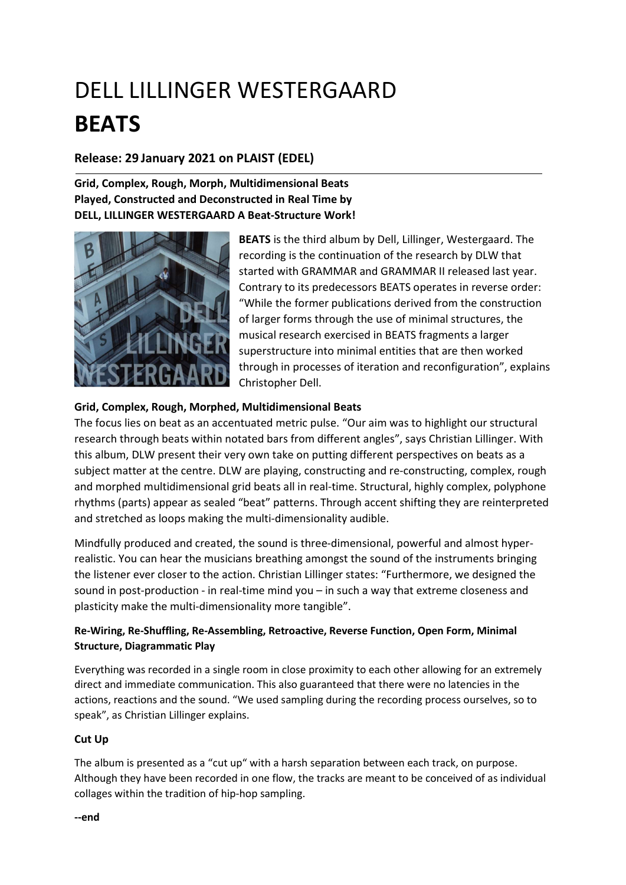# DELL LILLINGER WESTERGAARD BEATS

## Release: 29 January 2021 on PLAIST (EDEL)

## Grid, Complex, Rough, Morph, Multidimensional Beats Played, Constructed and Deconstructed in Real Time by DELL, LILLINGER WESTERGAARD A Beat-Structure Work!



BEATS is the third album by Dell, Lillinger, Westergaard. The recording is the continuation of the research by DLW that started with GRAMMAR and GRAMMAR II released last year. Contrary to its predecessors BEATS operates in reverse order: "While the former publications derived from the construction of larger forms through the use of minimal structures, the musical research exercised in BEATS fragments a larger superstructure into minimal entities that are then worked through in processes of iteration and reconfiguration", explains Christopher Dell.

#### Grid, Complex, Rough, Morphed, Multidimensional Beats

The focus lies on beat as an accentuated metric pulse. "Our aim was to highlight our structural research through beats within notated bars from different angles", says Christian Lillinger. With this album, DLW present their very own take on putting different perspectives on beats as a subject matter at the centre. DLW are playing, constructing and re-constructing, complex, rough and morphed multidimensional grid beats all in real-time. Structural, highly complex, polyphone rhythms (parts) appear as sealed "beat" patterns. Through accent shifting they are reinterpreted and stretched as loops making the multi-dimensionality audible.

Mindfully produced and created, the sound is three-dimensional, powerful and almost hyperrealistic. You can hear the musicians breathing amongst the sound of the instruments bringing the listener ever closer to the action. Christian Lillinger states: "Furthermore, we designed the sound in post-production - in real-time mind you – in such a way that extreme closeness and plasticity make the multi-dimensionality more tangible".

## Re-Wiring, Re-Shuffling, Re-Assembling, Retroactive, Reverse Function, Open Form, Minimal Structure, Diagrammatic Play

Everything was recorded in a single room in close proximity to each other allowing for an extremely direct and immediate communication. This also guaranteed that there were no latencies in the actions, reactions and the sound. "We used sampling during the recording process ourselves, so to speak", as Christian Lillinger explains.

#### Cut Up

The album is presented as a "cut up" with a harsh separation between each track, on purpose. Although they have been recorded in one flow, the tracks are meant to be conceived of as individual collages within the tradition of hip-hop sampling.